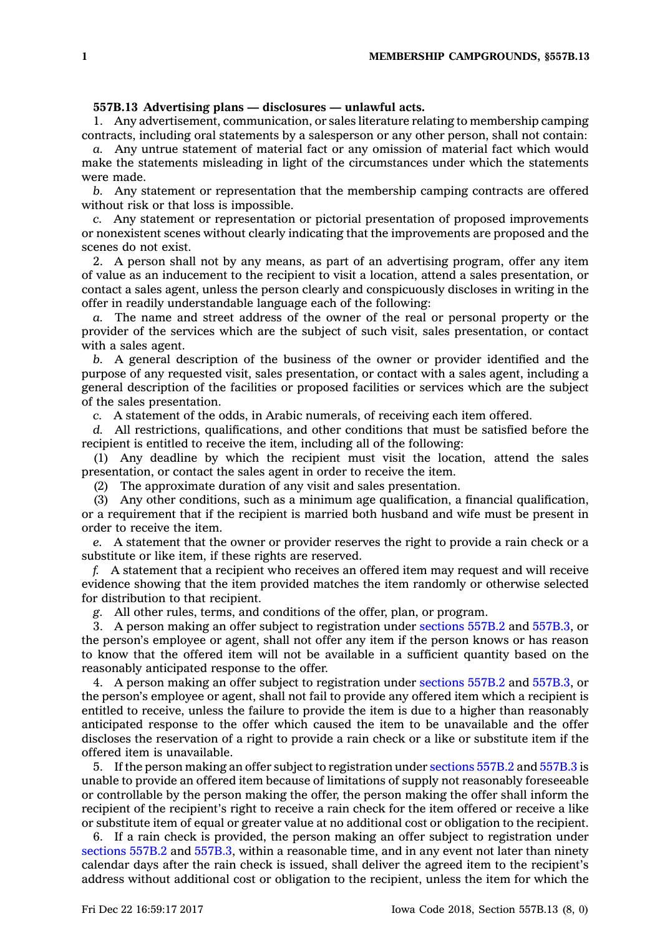## **557B.13 Advertising plans — disclosures — unlawful acts.**

1. Any advertisement, communication, or sales literature relating to membership camping contracts, including oral statements by <sup>a</sup> salesperson or any other person, shall not contain:

*a.* Any untrue statement of material fact or any omission of material fact which would make the statements misleading in light of the circumstances under which the statements were made.

*b.* Any statement or representation that the membership camping contracts are offered without risk or that loss is impossible.

*c.* Any statement or representation or pictorial presentation of proposed improvements or nonexistent scenes without clearly indicating that the improvements are proposed and the scenes do not exist.

2. A person shall not by any means, as part of an advertising program, offer any item of value as an inducement to the recipient to visit <sup>a</sup> location, attend <sup>a</sup> sales presentation, or contact <sup>a</sup> sales agent, unless the person clearly and conspicuously discloses in writing in the offer in readily understandable language each of the following:

*a.* The name and street address of the owner of the real or personal property or the provider of the services which are the subject of such visit, sales presentation, or contact with <sup>a</sup> sales agent.

*b.* A general description of the business of the owner or provider identified and the purpose of any requested visit, sales presentation, or contact with <sup>a</sup> sales agent, including <sup>a</sup> general description of the facilities or proposed facilities or services which are the subject of the sales presentation.

*c.* A statement of the odds, in Arabic numerals, of receiving each item offered.

*d.* All restrictions, qualifications, and other conditions that must be satisfied before the recipient is entitled to receive the item, including all of the following:

(1) Any deadline by which the recipient must visit the location, attend the sales presentation, or contact the sales agent in order to receive the item.

(2) The approximate duration of any visit and sales presentation.

(3) Any other conditions, such as <sup>a</sup> minimum age qualification, <sup>a</sup> financial qualification, or <sup>a</sup> requirement that if the recipient is married both husband and wife must be present in order to receive the item.

*e.* A statement that the owner or provider reserves the right to provide <sup>a</sup> rain check or <sup>a</sup> substitute or like item, if these rights are reserved.

*f.* A statement that <sup>a</sup> recipient who receives an offered item may request and will receive evidence showing that the item provided matches the item randomly or otherwise selected for distribution to that recipient.

*g.* All other rules, terms, and conditions of the offer, plan, or program.

3. A person making an offer subject to registration under [sections](https://www.legis.iowa.gov/docs/code/557B.2.pdf) 557B.2 and [557B.3](https://www.legis.iowa.gov/docs/code/557B.3.pdf), or the person's employee or agent, shall not offer any item if the person knows or has reason to know that the offered item will not be available in <sup>a</sup> sufficient quantity based on the reasonably anticipated response to the offer.

4. A person making an offer subject to registration under [sections](https://www.legis.iowa.gov/docs/code/557B.2.pdf) 557B.2 and [557B.3](https://www.legis.iowa.gov/docs/code/557B.3.pdf), or the person's employee or agent, shall not fail to provide any offered item which <sup>a</sup> recipient is entitled to receive, unless the failure to provide the item is due to <sup>a</sup> higher than reasonably anticipated response to the offer which caused the item to be unavailable and the offer discloses the reservation of <sup>a</sup> right to provide <sup>a</sup> rain check or <sup>a</sup> like or substitute item if the offered item is unavailable.

5. If the person making an offer subject to registration under [sections](https://www.legis.iowa.gov/docs/code/557B.2.pdf) 557B.2 and [557B.3](https://www.legis.iowa.gov/docs/code/557B.3.pdf) is unable to provide an offered item because of limitations of supply not reasonably foreseeable or controllable by the person making the offer, the person making the offer shall inform the recipient of the recipient's right to receive <sup>a</sup> rain check for the item offered or receive <sup>a</sup> like or substitute item of equal or greater value at no additional cost or obligation to the recipient.

6. If <sup>a</sup> rain check is provided, the person making an offer subject to registration under [sections](https://www.legis.iowa.gov/docs/code/557B.2.pdf) 557B.2 and [557B.3](https://www.legis.iowa.gov/docs/code/557B.3.pdf), within <sup>a</sup> reasonable time, and in any event not later than ninety calendar days after the rain check is issued, shall deliver the agreed item to the recipient's address without additional cost or obligation to the recipient, unless the item for which the